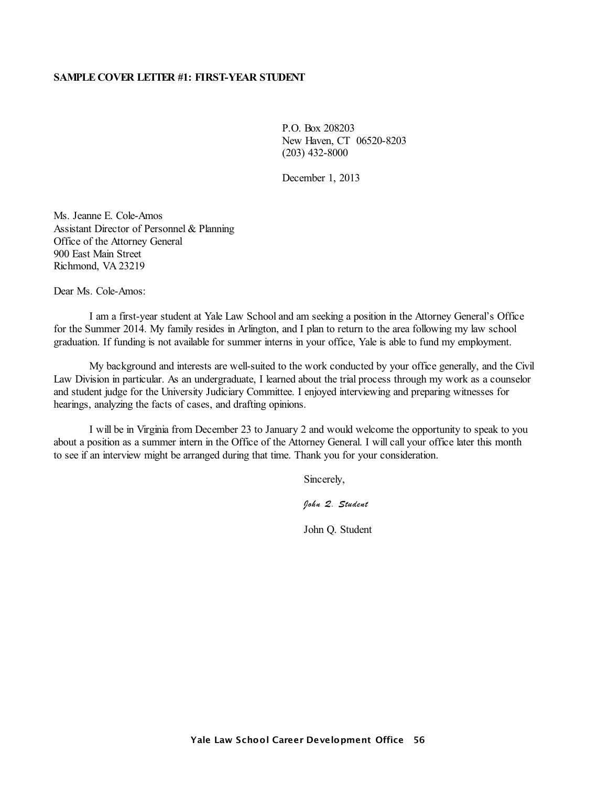# **SAMPLE COVER LETTER #1: FIRST-YEAR STUDENT**

P.O. Box 208203 New Haven, CT 06520-8203 (203) 432-8000

December 1, 2013

Ms. Jeanne E. Cole-Amos Assistant Director of Personnel & Planning Office of the Attorney General 900 East Main Street Richmond, VA 23219

Dear Ms. Cole-Amos:

I am a first-year student at Yale Law School and am seeking a position in the Attorney General's Office for the Summer 2014. My family resides in Arlington, and I plan to return to the area following my law school graduation. If funding is not available for summer interns in your office, Yale is able to fund my employment.

My background and interests are well-suited to the work conducted by your office generally, and the Civil Law Division in particular. As an undergraduate, I learned about the trial process through my work as a counselor and student judge for the University Judiciary Committee. I enjoyed interviewing and preparing witnesses for hearings, analyzing the facts of cases, and drafting opinions.

I will be in Virginia from December 23 to January 2 and would welcome the opportunity to speak to you about a position as a summer intern in the Office of the Attorney General. I will call your office later this month to see if an interview might be arranged during that time. Thank you for your consideration.

Sincerely,

*John Q. Student*

John Q. Student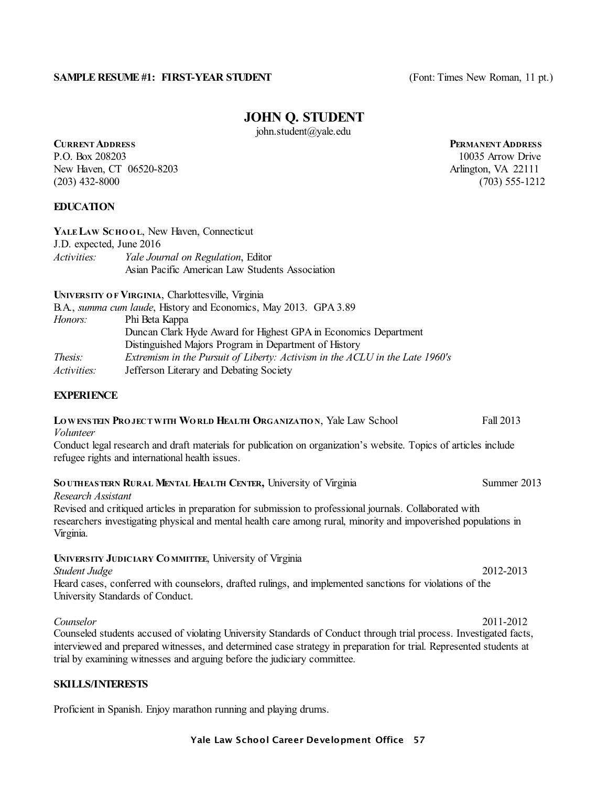## **SAMPLE RESUME #1: FIRST-YEAR STUDENT** (Font: Times New Roman, 11 pt.)

# **JOHN Q. STUDENT**

john.student@yale.edu

# **CURRENTADDRESS PERMANENTADDRESS**

P.O. Box 208203 10035 Arrow Drive New Haven, CT 06520-8203 Arlington, VA 22111 (203) 432-8000 (703) 555-1212

# **EDUCATION**

| YALE LAW SCHOOL, New Haven, Connecticut |                                                 |  |  |  |
|-----------------------------------------|-------------------------------------------------|--|--|--|
| J.D. expected, June 2016                |                                                 |  |  |  |
| <i>Activities:</i>                      | Yale Journal on Regulation, Editor              |  |  |  |
|                                         | Asian Pacific American Law Students Association |  |  |  |

**UNIVERSITY O F VIRGINIA**, Charlottesville, Virginia

| B.A., summa cum laude, History and Economics, May 2013. GPA 3.89             |
|------------------------------------------------------------------------------|
| Phi Beta Kappa                                                               |
| Duncan Clark Hyde Award for Highest GPA in Economics Department              |
| Distinguished Majors Program in Department of History                        |
| Extremism in the Pursuit of Liberty: Activism in the ACLU in the Late 1960's |
| Jefferson Literary and Debating Society                                      |
|                                                                              |

# **EXPERIENCE**

#### **LOWENSTEIN PRO JECT WITH WO RLD HEALTH ORGANIZATIO N**, Yale Law School Fall 2013 *Volunteer*

Conduct legal research and draft materials for publication on organization's website. Topics of articles include refugee rights and international health issues.

# **SO UTHEASTERN RURAL MENTAL HEALTH CENTER,** University of Virginia Summer 2013

*Research Assistant* Revised and critiqued articles in preparation for submission to professional journals. Collaborated with researchers investigating physical and mental health care among rural, minority and impoverished populations in Virginia.

#### **UNIVERSITY JUDICIARY CO MMITTEE**, University of Virginia

*Student Judge* 2012-2013

Heard cases, conferred with counselors, drafted rulings, and implemented sanctions for violations of the University Standards of Conduct.

*Counselor* 2011-2012 Counseled students accused of violating University Standards of Conduct through trial process. Investigated facts, interviewed and prepared witnesses, and determined case strategy in preparation for trial. Represented students at trial by examining witnesses and arguing before the judiciary committee.

# **SKILLS/INTERESTS**

Proficient in Spanish. Enjoy marathon running and playing drums.

#### Yale Law School Career Development Office 57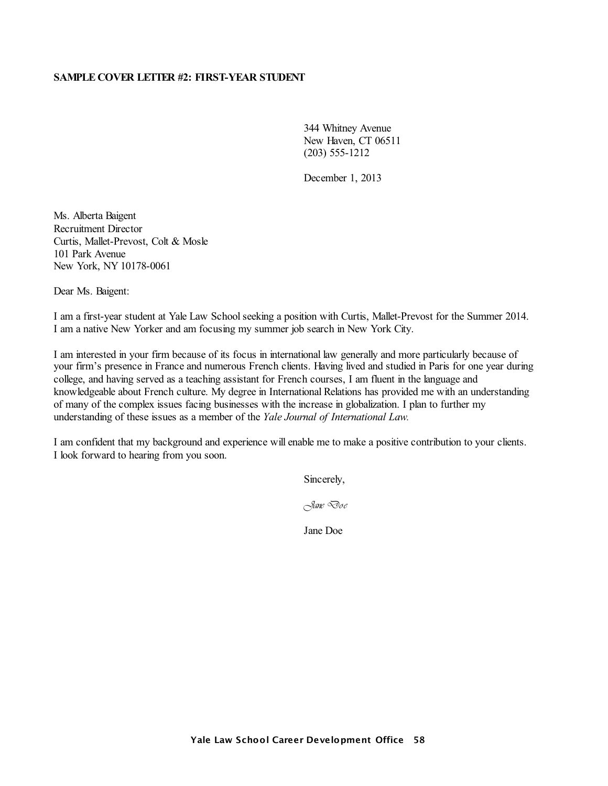# **SAMPLE COVER LETTER #2: FIRST-YEAR STUDENT**

344 Whitney Avenue New Haven, CT 06511 (203) 555-1212

December 1, 2013

Ms. Alberta Baigent Recruitment Director Curtis, Mallet-Prevost, Colt & Mosle 101 Park Avenue New York, NY 10178-0061

Dear Ms. Baigent:

I am a first-year student at Yale Law Schoolseeking a position with Curtis, Mallet-Prevost for the Summer 2014. I am a native New Yorker and am focusing my summer job search in New York City.

I am interested in your firm because of its focus in international law generally and more particularly because of your firm's presence in France and numerous French clients. Having lived and studied in Paris for one year during college, and having served as a teaching assistant for French courses, I am fluent in the language and knowledgeable about French culture. My degree in International Relations has provided me with an understanding of many of the complex issues facing businesses with the increase in globalization. I plan to further my understanding of these issues as a member of the *Yale Journal of International Law.*

I am confident that my background and experience will enable me to make a positive contribution to your clients. I look forward to hearing from you soon.

Sincerely,

*Jane Doe*

Jane Doe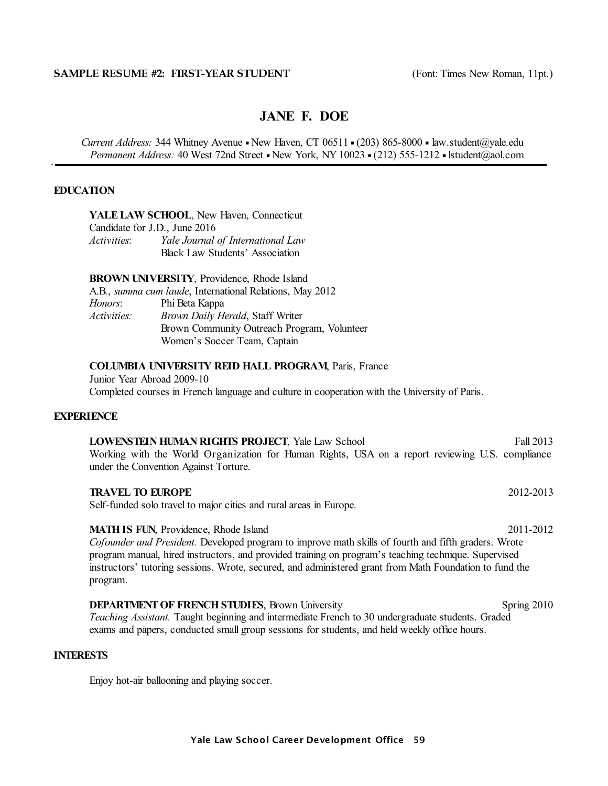# **JANE F. DOE**

*Current Address:* 344 Whitney Avenue • New Haven, CT 06511 • (203) 865-8000 • law.student@yale.edu *Permanent Address:* 40 West 72nd Street - New York, NY 10023 - (212) 555-1212 - lstudent@aol.com

# **EDUCATION**

**YALELAW SCHOOL**, New Haven, Connecticut

Candidate for J.D., June 2016 *Activities*: *Yale Journal of International Law* Black Law Students' Association

**BROWN UNIVERSITY**, Providence, Rhode Island

|                    | A.B., <i>summa cum laude</i> , International Relations, May 2012 |
|--------------------|------------------------------------------------------------------|
| Honors:            | Phi Beta Kappa                                                   |
| <i>Activities:</i> | Brown Daily Herald, Staff Writer                                 |
|                    | Brown Community Outreach Program, Volunteer                      |
|                    | Women's Soccer Team, Captain                                     |

#### **COLUMBIA UNIVERSITY REID HALL PROGRAM**, Paris, France

Junior Year Abroad 2009-10 Completed courses in French language and culture in cooperation with the University of Paris.

#### **EXPERIENCE**

| <b>LOWENSTEIN HUMAN RIGHTS PROJECT, Yale Law School</b>                                         |  |  |  |  |  |  | Fall 2013 |
|-------------------------------------------------------------------------------------------------|--|--|--|--|--|--|-----------|
| Working with the World Organization for Human Rights, USA on a report reviewing U.S. compliance |  |  |  |  |  |  |           |
| under the Convention Against Torture.                                                           |  |  |  |  |  |  |           |

**TRAVEL TO EUROPE** 2012-2013 Self-funded solo travel to major cities and rural areas in Europe.

#### **MATH IS FUN.** Providence, Rhode Island 2011-2012

*Cofounder and President.* Developed program to improve math skills of fourth and fifth graders. Wrote program manual, hired instructors, and provided training on program's teaching technique. Supervised instructors' tutoring sessions. Wrote, secured, and administered grant from Math Foundation to fund the program.

**DEPARTMENT OF FRENCH STUDIES, Brown University Spring 2010 Spring 2010** *Teaching Assistant.* Taught beginning and intermediate French to 30 undergraduate students. Graded exams and papers, conducted small group sessions for students, and held weekly office hours.

# **INTERESTS**

Enjoy hot-air ballooning and playing soccer.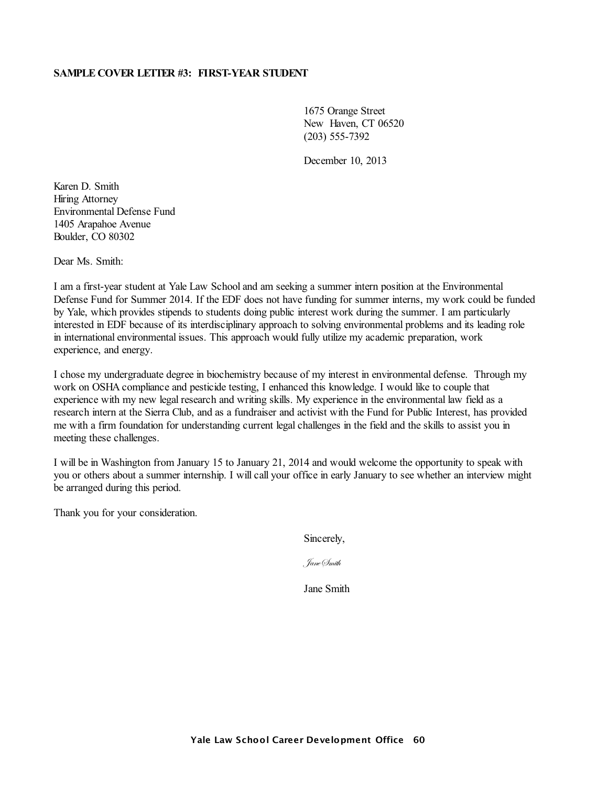# **SAMPLE COVER LETTER #3: FIRST-YEAR STUDENT**

1675 Orange Street New Haven, CT 06520 (203) 555-7392

December 10, 2013

Karen D. Smith Hiring Attorney Environmental Defense Fund 1405 Arapahoe Avenue Boulder, CO 80302

Dear Ms. Smith:

I am a first-year student at Yale Law School and am seeking a summer intern position at the Environmental Defense Fund for Summer 2014. If the EDF does not have funding for summer interns, my work could be funded by Yale, which provides stipends to students doing public interest work during the summer. I am particularly interested in EDF because of its interdisciplinary approach to solving environmental problems and its leading role in international environmental issues. This approach would fully utilize my academic preparation, work experience, and energy.

I chose my undergraduate degree in biochemistry because of my interest in environmental defense. Through my work on OSHA compliance and pesticide testing, I enhanced this knowledge. I would like to couple that experience with my new legal research and writing skills. My experience in the environmental law field as a research intern at the Sierra Club, and as a fundraiser and activist with the Fund for Public Interest, has provided me with a firm foundation for understanding current legal challenges in the field and the skills to assist you in meeting these challenges.

I will be in Washington from January 15 to January 21, 2014 and would welcome the opportunity to speak with you or others about a summer internship. I will call your office in early January to see whether an interview might be arranged during this period.

Thank you for your consideration.

Sincerely,

JaneSmith

Jane Smith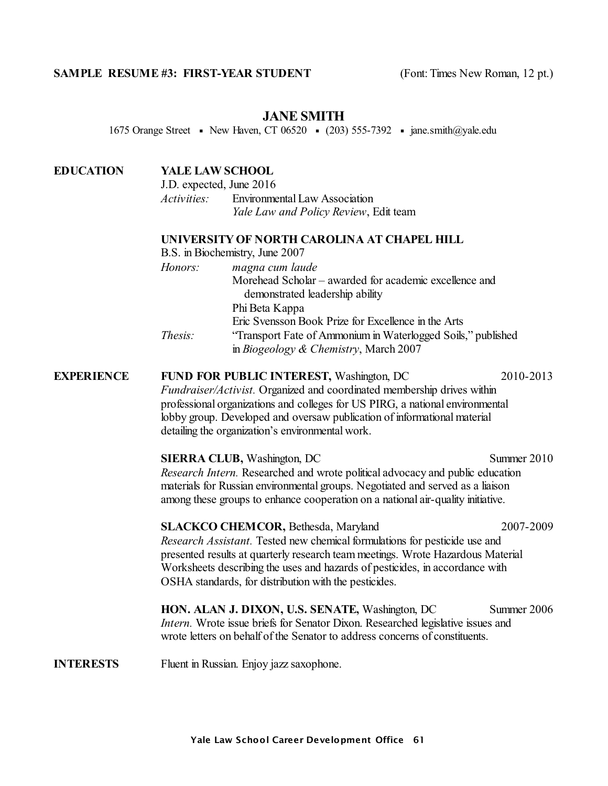# **SAMPLE RESUME #3: FIRST-YEAR STUDENT** (Font: Times New Roman, 12 pt.)

# **JANE SMITH**

1675 Orange Street • New Haven, CT 06520 • (203) 555-7392 • jane.smith@yale.edu

# **EDUCATION YALE LAW SCHOOL**

J.D. expected, June 2016 *Activities:* Environmental Law Association *Yale Law and Policy Review*, Edit team

# **UNIVERSITY OF NORTH CAROLINA AT CHAPEL HILL**

| B.S. in Biochemistry, June 2007                              |
|--------------------------------------------------------------|
| magna cum laude                                              |
| Morehead Scholar – awarded for academic excellence and       |
| demonstrated leadership ability                              |
| Phi Beta Kappa                                               |
| Eric Svensson Book Prize for Excellence in the Arts          |
| "Transport Fate of Ammonium in Waterlogged Soils," published |
| in Biogeology & Chemistry, March 2007                        |
|                                                              |

# **EXPERIENCE FUND FOR PUBLIC INTEREST,** Washington, DC 2010-2013 *Fundraiser/Activist.* Organized and coordinated membership drives within professional organizations and colleges for US PIRG, a national environmental lobby group. Developed and oversaw publication of informational material detailing the organization's environmental work.

**SIERRA CLUB,** Washington, DC Summer 2010 *Research Intern.* Researched and wrote political advocacy and public education materials for Russian environmental groups. Negotiated and served as a liaison among these groups to enhance cooperation on a national air-quality initiative.

# **SLACKCO CHEMCOR, Bethesda, Maryland 2007-2009** *Research Assistant.* Tested new chemical formulations for pesticide use and presented results at quarterly research team meetings. Wrote Hazardous Material Worksheets describing the uses and hazards of pesticides, in accordance with OSHA standards, for distribution with the pesticides.

**HON. ALAN J. DIXON, U.S. SENATE, Washington, DC** Summer 2006 *Intern.* Wrote issue briefs for Senator Dixon. Researched legislative issues and wrote letters on behalf of the Senator to address concerns of constituents.

# **INTERESTS** Fluent in Russian. Enjoy jazz saxophone.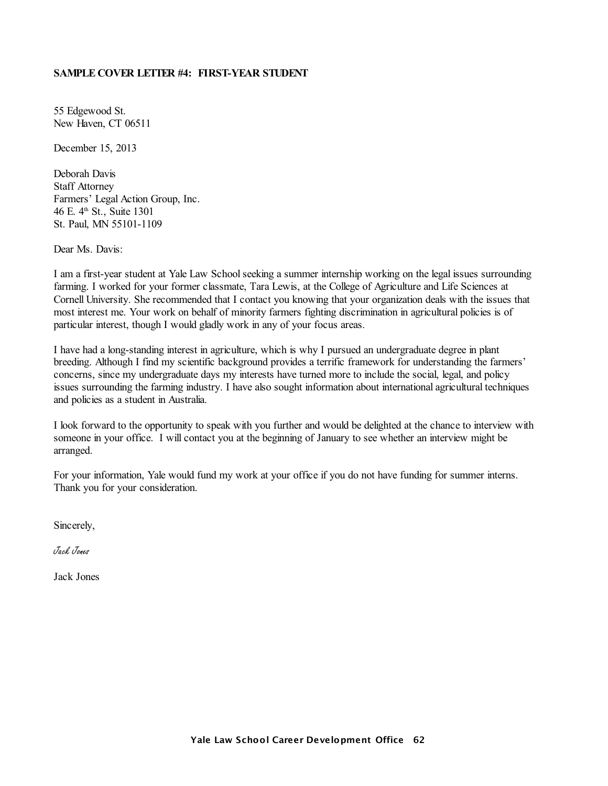# **SAMPLE COVER LETTER #4: FIRST-YEAR STUDENT**

55 Edgewood St. New Haven, CT 06511

December 15, 2013

Deborah Davis Staff Attorney Farmers' Legal Action Group, Inc. 46 E. 4 th St., Suite 1301 St. Paul, MN 55101-1109

Dear Ms. Davis:

I am a first-year student at Yale Law Schoolseeking a summer internship working on the legal issues surrounding farming. I worked for your former classmate, Tara Lewis, at the College of Agriculture and Life Sciences at Cornell University. She recommended that I contact you knowing that your organization deals with the issues that most interest me. Your work on behalf of minority farmers fighting discrimination in agricultural policies is of particular interest, though I would gladly work in any of your focus areas.

I have had a long-standing interest in agriculture, which is why I pursued an undergraduate degree in plant breeding. Although I find my scientific background provides a terrific framework for understanding the farmers' concerns, since my undergraduate days my interests have turned more to include the social, legal, and policy issues surrounding the farming industry. I have also sought information about international agricultural techniques and policies as a student in Australia.

I look forward to the opportunity to speak with you further and would be delighted at the chance to interview with someone in your office. I will contact you at the beginning of January to see whether an interview might be arranged.

For your information, Yale would fund my work at your office if you do not have funding for summer interns. Thank you for your consideration.

Sincerely,

Jack Jones

Jack Jones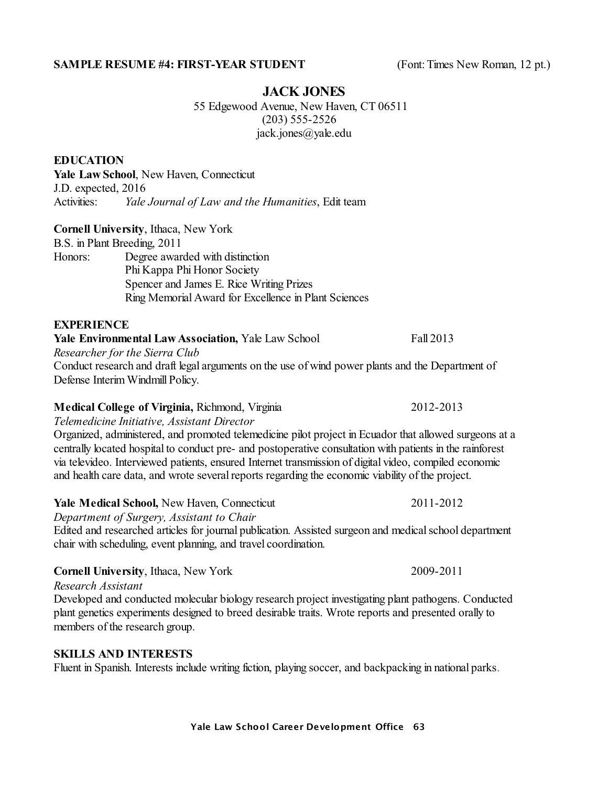# **SAMPLE RESUME #4: FIRST-YEAR STUDENT** (Font: Times New Roman, 12 pt.)

# **JACK JONES**

55 Edgewood Avenue, New Haven, CT 06511 (203) 555-2526 jack.jones@yale.edu

# **EDUCATION**

**Yale Law School**, New Haven, Connecticut J.D. expected, 2016 Activities: *Yale Journal of Law and the Humanities*, Edit team

# **Cornell University**, Ithaca, New York

B.S. in Plant Breeding, 2011

Honors: Degree awarded with distinction Phi Kappa Phi Honor Society Spencer and James E. Rice Writing Prizes Ring Memorial Award for Excellence in Plant Sciences

# **EXPERIENCE**

**Yale Environmental Law Association, Yale Law School Fall 2013** 

*Researcher for the Sierra Club*

Conduct research and draft legal arguments on the use of wind power plants and the Department of Defense Interim Windmill Policy.

# **Medical College of Virginia,** Richmond, Virginia 2012-2013

*Telemedicine Initiative, Assistant Director*

Organized, administered, and promoted telemedicine pilot project in Ecuador that allowed surgeons at a centrally located hospital to conduct pre- and postoperative consultation with patients in the rainforest via televideo. Interviewed patients, ensured Internet transmission of digital video, compiled economic and health care data, and wrote several reports regarding the economic viability of the project.

# **Yale Medical School, New Haven, Connecticut 2011-2012**

*Department of Surgery, Assistant to Chair*

Edited and researched articles for journal publication. Assisted surgeon and medical school department chair with scheduling, event planning, and travel coordination.

#### **Cornell University**, Ithaca, New York 2009-2011

*Research Assistant*

Developed and conducted molecular biology research project investigating plant pathogens. Conducted plant genetics experiments designed to breed desirable traits. Wrote reports and presented orally to members of the research group.

# **SKILLS AND INTERESTS**

Fluent in Spanish. Interests include writing fiction, playing soccer, and backpacking in national parks.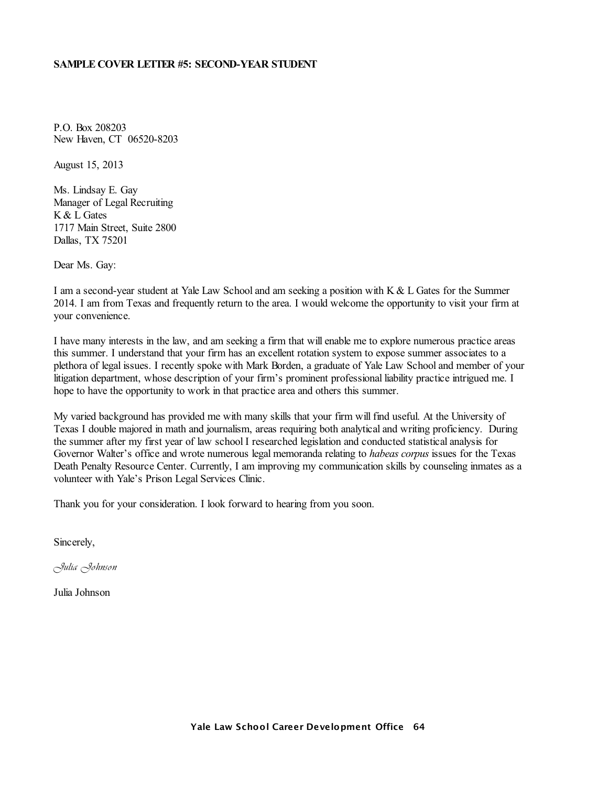#### **SAMPLE COVER LETTER #5: SECOND-YEAR STUDENT**

P.O. Box 208203 New Haven, CT 06520-8203

August 15, 2013

Ms. Lindsay E. Gay Manager of Legal Recruiting K & L Gates 1717 Main Street, Suite 2800 Dallas, TX 75201

Dear Ms. Gay:

I am a second-year student at Yale Law School and am seeking a position with K & L Gates for the Summer 2014. I am from Texas and frequently return to the area. I would welcome the opportunity to visit your firm at your convenience.

I have many interests in the law, and am seeking a firm that will enable me to explore numerous practice areas this summer. I understand that your firm has an excellent rotation system to expose summer associates to a plethora of legal issues. I recently spoke with Mark Borden, a graduate of Yale Law School and member of your litigation department, whose description of your firm's prominent professional liability practice intrigued me. I hope to have the opportunity to work in that practice area and others this summer.

My varied background has provided me with many skills that your firm will find useful. At the University of Texas I double majored in math and journalism, areas requiring both analytical and writing proficiency. During the summer after my first year of law school I researched legislation and conducted statistical analysis for Governor Walter's office and wrote numerous legal memoranda relating to *habeas corpus* issues for the Texas Death Penalty Resource Center. Currently, I am improving my communication skills by counseling inmates as a volunteer with Yale's Prison Legal Services Clinic.

Thank you for your consideration. I look forward to hearing from you soon.

Sincerely,

*Julia Johnson*

Julia Johnson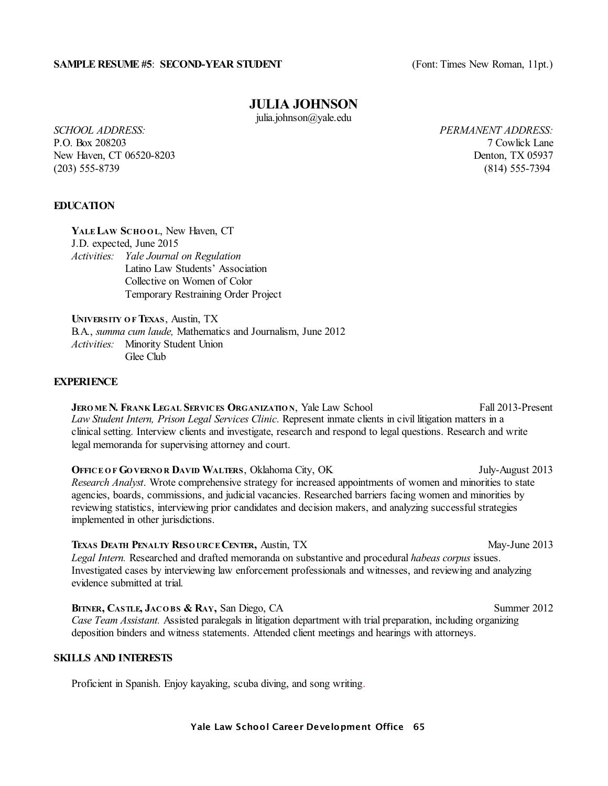#### **SAMPLE RESUME #5: SECOND-YEAR STUDENT** (Font: Times New Roman, 11pt.)

# **JULIA JOHNSON**

julia.johnson@yale.edu

P.O. Box 208203 7 Cowlick Lane New Haven, CT 06520-8203 Denton, TX 05937 (203) 555-8739 (814) 555-7394

*SCHOOL ADDRESS: PERMANENT ADDRESS:*

# **EDUCATION**

**YALE LAW SCHO O L**, New Haven, CT J.D. expected, June 2015 *Activities: Yale Journal on Regulation* Latino Law Students' Association Collective on Women of Color Temporary Restraining Order Project

**UNIVERSITY O F TEXAS**, Austin, TX B.A., *summa cum laude,* Mathematics and Journalism, June 2012 *Activities:* Minority Student Union Glee Club

# **EXPERIENCE**

**JERO MEN. FRANK LEGAL SERVICES ORGANIZATIO N**, Yale Law School Fall 2013-Present *Law Student Intern, Prison Legal Services Clinic*. Represent inmate clients in civil litigation matters in a clinical setting. Interview clients and investigate, research and respond to legal questions. Research and write legal memoranda for supervising attorney and court.

**OFFICE O F GO VERNO R DAVID WALTERS**, Oklahoma City, OK July-August 2013 *Research Analyst*. Wrote comprehensive strategy for increased appointments of women and minorities to state agencies, boards, commissions, and judicial vacancies. Researched barriers facing women and minorities by reviewing statistics, interviewing prior candidates and decision makers, and analyzing successfulstrategies implemented in other jurisdictions.

**TEXAS DEATH PENALTY RESO URCECENTER,** Austin, TX May-June 2013 *Legal Intern.* Researched and drafted memoranda on substantive and procedural *habeas corpus* issues. Investigated cases by interviewing law enforcement professionals and witnesses, and reviewing and analyzing evidence submitted at trial.

**BITNER, CASTLE**, JACOBS & RAY, San Diego, CA Summer 2012 *Case Team Assistant.* Assisted paralegals in litigation department with trial preparation, including organizing deposition binders and witness statements. Attended client meetings and hearings with attorneys.

#### **SKILLS AND INTERESTS**

Proficient in Spanish. Enjoy kayaking, scuba diving, and song writing.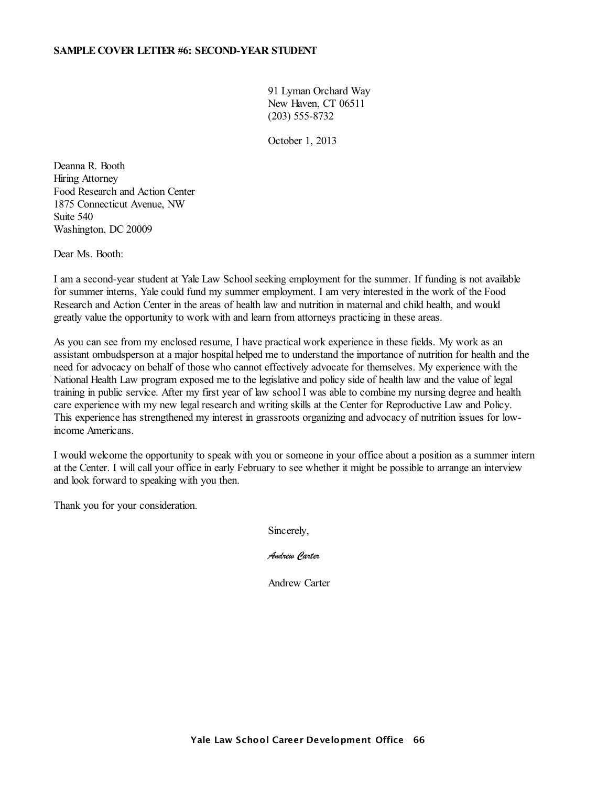### **SAMPLE COVER LETTER #6: SECOND-YEAR STUDENT**

91 Lyman Orchard Way New Haven, CT 06511 (203) 555-8732

October 1, 2013

Deanna R. Booth Hiring Attorney Food Research and Action Center 1875 Connecticut Avenue, NW Suite 540 Washington, DC 20009

Dear Ms. Booth:

I am a second-year student at Yale Law School seeking employment for the summer. If funding is not available for summer interns, Yale could fund my summer employment. I am very interested in the work of the Food Research and Action Center in the areas of health law and nutrition in maternal and child health, and would greatly value the opportunity to work with and learn from attorneys practicing in these areas.

As you can see from my enclosed resume, I have practical work experience in these fields. My work as an assistant ombudsperson at a major hospital helped me to understand the importance of nutrition for health and the need for advocacy on behalf of those who cannot effectively advocate for themselves. My experience with the National Health Law program exposed me to the legislative and policy side of health law and the value of legal training in public service. After my first year of law school I was able to combine my nursing degree and health care experience with my new legal research and writing skills at the Center for Reproductive Law and Policy. This experience has strengthened my interest in grassroots organizing and advocacy of nutrition issues for lowincome Americans.

I would welcome the opportunity to speak with you or someone in your office about a position as a summer intern at the Center. I will call your office in early February to see whether it might be possible to arrange an interview and look forward to speaking with you then.

Thank you for your consideration.

Sincerely,

*Andrew Carter*

Andrew Carter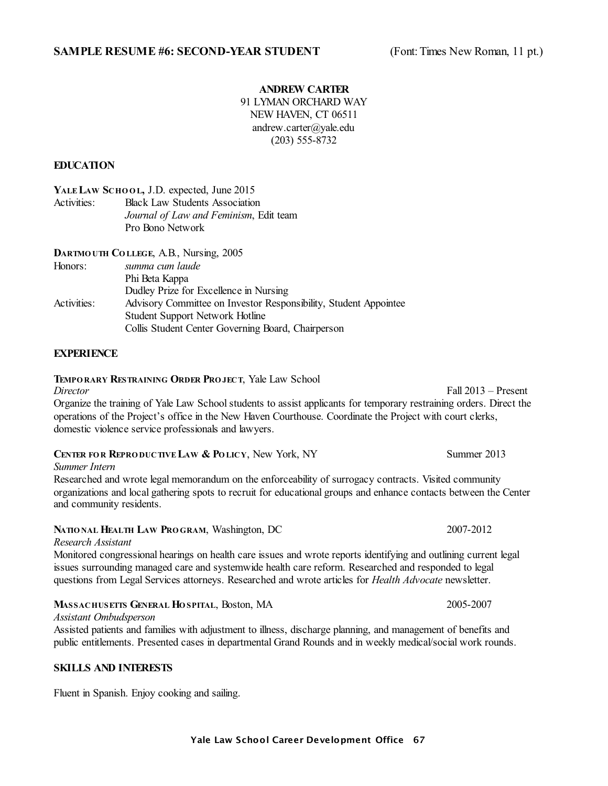#### **ANDREW CARTER**

91 LYMAN ORCHARD WAY NEW HAVEN, CT 06511 andrew.carter@yale.edu (203) 555-8732

## **EDUCATION**

**YALE LAW SCHO O L,** J.D. expected, June 2015

Activities: Black Law Students Association *Journal of Law and Feminism*, Edit team Pro Bono Network

**DARTMO UTH CO LLEGE**, A.B., Nursing, 2005

| Honors:     | summa cum laude                                                  |
|-------------|------------------------------------------------------------------|
|             | Phi Beta Kappa                                                   |
|             | Dudley Prize for Excellence in Nursing                           |
| Activities: | Advisory Committee on Investor Responsibility, Student Appointee |
|             | <b>Student Support Network Hotline</b>                           |
|             | Collis Student Center Governing Board, Chairperson               |

# **EXPERIENCE**

#### **TEMPO RARY RESTRAINING ORDER PRO JECT**, Yale Law School

*Director* Fall 2013 – Present Organize the training of Yale Law School students to assist applicants for temporary restraining orders. Direct the operations of the Project's office in the New Haven Courthouse. Coordinate the Project with court clerks, domestic violence service professionals and lawyers.

| CENTER FOR REPRODUCTIVE LAW & POLICY, New York, NY |  | Summer 2013 |
|----------------------------------------------------|--|-------------|
|----------------------------------------------------|--|-------------|

*Summer Intern*

Researched and wrote legal memorandum on the enforceability of surrogacy contracts. Visited community organizations and local gathering spots to recruit for educational groups and enhance contacts between the Center and community residents.

#### **NATIO NAL HEALTH LAW PRO GRAM**, Washington, DC 2007-2012

*Research Assistant*

Monitored congressional hearings on health care issues and wrote reports identifying and outlining current legal issues surrounding managed care and systemwide health care reform. Researched and responded to legal questions from Legal Services attorneys. Researched and wrote articles for *Health Advocate* newsletter.

#### **MASSACHUSETTS GENERAL HO SPITAL**, Boston, MA 2005-2007

*Assistant Ombudsperson*

Assisted patients and families with adjustment to illness, discharge planning, and management of benefits and public entitlements. Presented cases in departmental Grand Rounds and in weekly medical/social work rounds.

#### **SKILLS AND INTERESTS**

Fluent in Spanish. Enjoy cooking and sailing.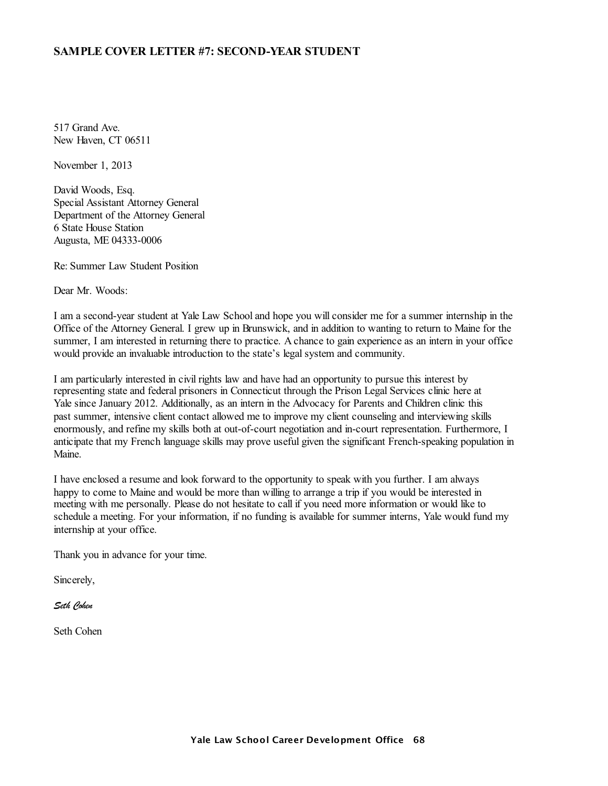# **SAMPLE COVER LETTER #7: SECOND-YEAR STUDENT**

517 Grand Ave. New Haven, CT 06511

November 1, 2013

David Woods, Esq. Special Assistant Attorney General Department of the Attorney General 6 State House Station Augusta, ME 04333-0006

Re: Summer Law Student Position

Dear Mr. Woods:

I am a second-year student at Yale Law School and hope you will consider me for a summer internship in the Office of the Attorney General. I grew up in Brunswick, and in addition to wanting to return to Maine for the summer, I am interested in returning there to practice. A chance to gain experience as an intern in your office would provide an invaluable introduction to the state's legal system and community.

I am particularly interested in civil rights law and have had an opportunity to pursue this interest by representing state and federal prisoners in Connecticut through the Prison Legal Services clinic here at Yale since January 2012. Additionally, as an intern in the Advocacy for Parents and Children clinic this past summer, intensive client contact allowed me to improve my client counseling and interviewing skills enormously, and refine my skills both at out-of-court negotiation and in-court representation. Furthermore, I anticipate that my French language skills may prove useful given the significant French-speaking population in Maine.

I have enclosed a resume and look forward to the opportunity to speak with you further. I am always happy to come to Maine and would be more than willing to arrange a trip if you would be interested in meeting with me personally. Please do not hesitate to call if you need more information or would like to schedule a meeting. For your information, if no funding is available for summer interns, Yale would fund my internship at your office.

Thank you in advance for your time.

Sincerely,

*Seth Cohen*

Seth Cohen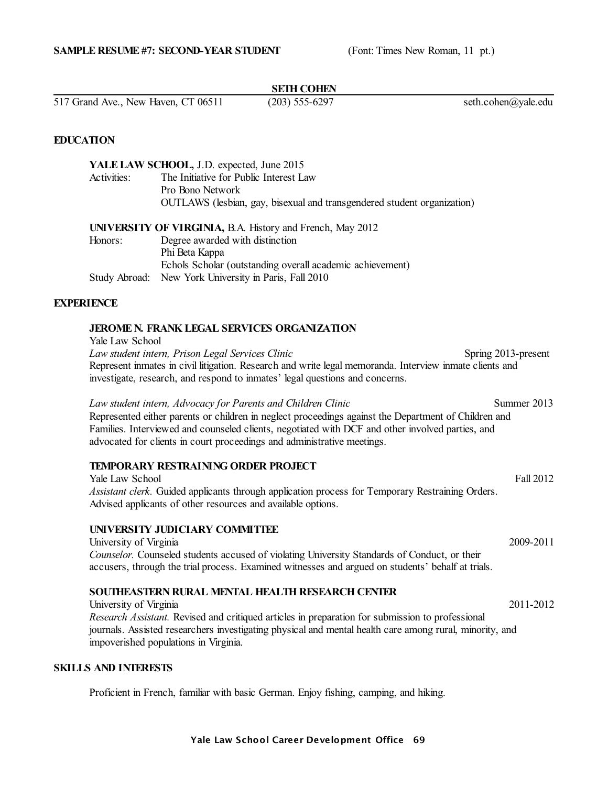#### **SETH COHEN**

517 Grand Ave., New Haven, CT 06511 (203) 555-6297 seth.cohen@yale.edu

#### **EDUCATION**

|             | YALE LAW SCHOOL, J.D. expected, June 2015                               |
|-------------|-------------------------------------------------------------------------|
| Activities: | The Initiative for Public Interest Law                                  |
|             | Pro Bono Network                                                        |
|             | OUTLAWS (lesbian, gay, bisexual and transgendered student organization) |
|             |                                                                         |
|             | <b>UNIVERSITY OF VIRGINIA, B.A. History and French, May 2012</b>        |
| Honors:     | Degree awarded with distinction                                         |
|             | Phi Beta Kappa                                                          |
|             | Echols Scholar (outstanding overall academic achievement)               |
|             | Study Abroad: New York University in Paris, Fall 2010                   |

#### **EXPERIENCE**

# **JEROME N. FRANK LEGAL SERVICES ORGANIZATION**

Yale Law School

*Law student intern, Prison Legal Services Clinic* Spring 2013-present Represent inmates in civil litigation. Research and write legal memoranda. Interview inmate clients and investigate, research, and respond to inmates' legal questions and concerns.

*Law student intern, Advocacy for Parents and Children Clinic* Summer 2013 Represented either parents or children in neglect proceedings against the Department of Children and Families. Interviewed and counseled clients, negotiated with DCF and other involved parties, and advocated for clients in court proceedings and administrative meetings.

# **TEMPORARY RESTRAINING ORDER PROJECT**

Yale Law School Fall 2012 *Assistant clerk.* Guided applicants through application process for Temporary Restraining Orders. Advised applicants of other resources and available options.

# **UNIVERSITY JUDICIARY COMMITTEE**

University of Virginia 2009-2011 *Counselor.* Counseled students accused of violating University Standards of Conduct, or their accusers, through the trial process. Examined witnesses and argued on students' behalf at trials.

# **SOUTHEASTERN RURAL MENTAL HEALTH RESEARCH CENTER**

University of Virginia 2011-2012 *Research Assistant.* Revised and critiqued articles in preparation for submission to professional journals. Assisted researchers investigating physical and mental health care among rural, minority, and impoverished populations in Virginia.

# **SKILLS AND INTERESTS**

Proficient in French, familiar with basic German. Enjoy fishing, camping, and hiking.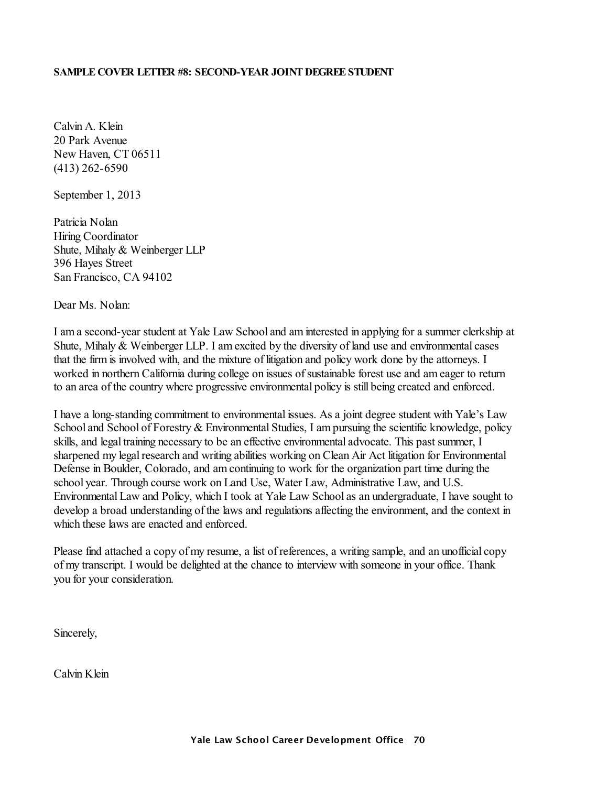# **SAMPLE COVER LETTER #8: SECOND-YEAR JOINT DEGREESTUDENT**

Calvin A. Klein 20 Park Avenue New Haven, CT 06511 (413) 262-6590

September 1, 2013

Patricia Nolan Hiring Coordinator Shute, Mihaly & Weinberger LLP 396 Hayes Street San Francisco, CA 94102

# Dear Ms. Nolan:

I am a second-year student at Yale Law School and aminterested in applying for a summer clerkship at Shute, Mihaly & Weinberger LLP. I amexcited by the diversity of land use and environmental cases that the firmis involved with, and the mixture of litigation and policy work done by the attorneys. I worked in northern California during college on issues of sustainable forest use and am eager to return to an area of the country where progressive environmental policy is still being created and enforced.

I have a long-standing commitment to environmental issues. As a joint degree student with Yale's Law School and School of Forestry & Environmental Studies, I am pursuing the scientific knowledge, policy skills, and legal training necessary to be an effective environmental advocate. This past summer, I sharpened my legal research and writing abilities working on Clean Air Act litigation for Environmental Defense in Boulder, Colorado, and amcontinuing to work for the organization part time during the school year. Through course work on Land Use, Water Law, Administrative Law, and U.S. Environmental Law and Policy, which I took at Yale Law School as an undergraduate, I have sought to develop a broad understanding of the laws and regulations affecting the environment, and the context in which these laws are enacted and enforced.

Please find attached a copy of my resume, a list of references, a writing sample, and an unofficial copy of my transcript. I would be delighted at the chance to interview with someone in your office. Thank you for your consideration.

Sincerely,

Calvin Klein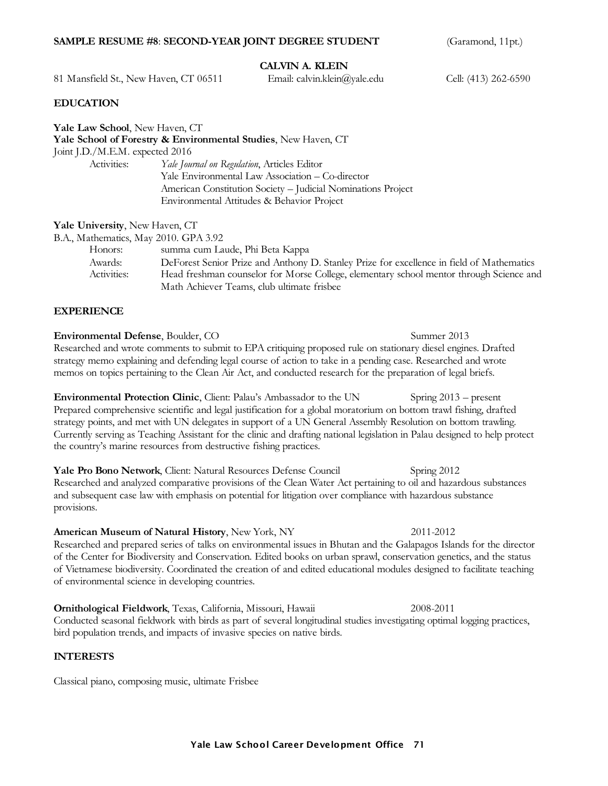#### **SAMPLE RESUME #8: SECOND-YEAR JOINT DEGREE STUDENT** (Garamond, 11pt.)

# **CALVIN A. KLEIN**

81 Mansfield St., New Haven, CT 06511 Email: calvin.klein@yale.edu Cell: (413) 262-6590

#### **EDUCATION**

| <b>Yale Law School</b> , New Haven, CT | Yale School of Forestry & Environmental Studies, New Haven, CT |
|----------------------------------------|----------------------------------------------------------------|
| Joint J.D./M.E.M. expected 2016        |                                                                |
| Activities:                            | Yale Journal on Regulation, Articles Editor                    |
|                                        | Yale Environmental Law Association – Co-director               |
|                                        | American Constitution Society - Judicial Nominations Project   |
|                                        | Environmental Attitudes & Behavior Project                     |
|                                        |                                                                |

**Yale University**, New Haven, CT

| B.A., Mathematics, May 2010. GPA 3.92 |                                                                                           |
|---------------------------------------|-------------------------------------------------------------------------------------------|
| Honors:                               | summa cum Laude, Phi Beta Kappa                                                           |
| Awards:                               | DeForest Senior Prize and Anthony D. Stanley Prize for excellence in field of Mathematics |
| Activities:                           | Head freshman counselor for Morse College, elementary school mentor through Science and   |
|                                       | Math Achiever Teams, club ultimate frisbee                                                |

#### **EXPERIENCE**

**Environmental Defense**, Boulder, CO Summer 2013 Researched and wrote comments to submit to EPA critiquing proposed rule on stationary diesel engines. Drafted strategy memo explaining and defending legal course of action to take in a pending case. Researched and wrote memos on topics pertaining to the Clean Air Act, and conducted research for the preparation of legal briefs.

**Environmental Protection Clinic**, Client: Palau's Ambassador to the UN Spring 2013 – present Prepared comprehensive scientific and legal justification for a global moratorium on bottom trawl fishing, drafted strategy points, and met with UN delegates in support of a UN General Assembly Resolution on bottom trawling. Currently serving as Teaching Assistant for the clinic and drafting national legislation in Palau designed to help protect the country's marine resources from destructive fishing practices.

**Yale Pro Bono Network**, Client: Natural Resources Defense Council Spring 2012 Researched and analyzed comparative provisions of the Clean Water Act pertaining to oil and hazardous substances and subsequent case law with emphasis on potential for litigation over compliance with hazardous substance provisions.

#### **American Museum of Natural History**, New York, NY 2011-2012

Researched and prepared series of talks on environmental issues in Bhutan and the Galapagos Islands for the director of the Center for Biodiversity and Conservation. Edited books on urban sprawl, conservation genetics, and the status of Vietnamese biodiversity. Coordinated the creation of and edited educational modules designed to facilitate teaching of environmental science in developing countries.

**Ornithological Fieldwork**, Texas, California, Missouri, Hawaii 2008-2011 Conducted seasonal fieldwork with birds as part of several longitudinal studies investigating optimal logging practices, bird population trends, and impacts of invasive species on native birds.

#### **INTERESTS**

Classical piano, composing music, ultimate Frisbee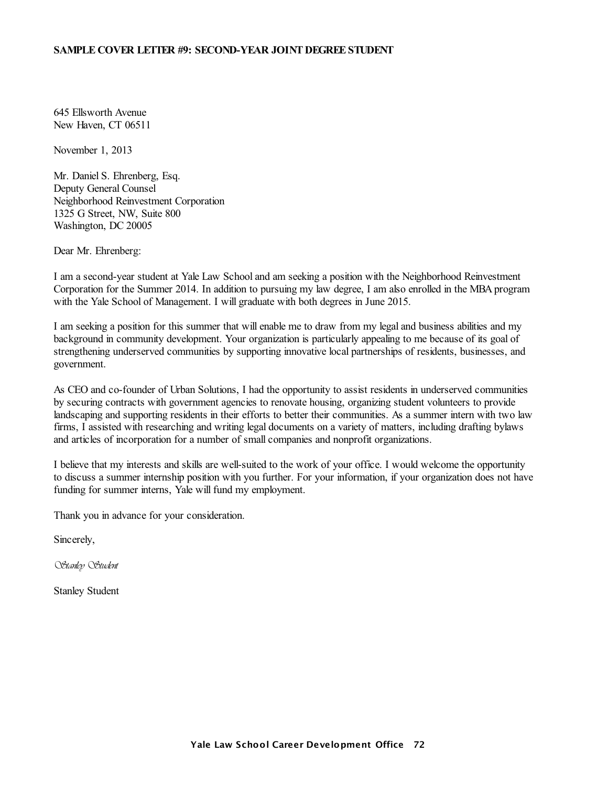### **SAMPLE COVER LETTER #9: SECOND-YEAR JOINT DEGREESTUDENT**

645 Ellsworth Avenue New Haven, CT 06511

November 1, 2013

Mr. Daniel S. Ehrenberg, Esq. Deputy General Counsel Neighborhood Reinvestment Corporation 1325 G Street, NW, Suite 800 Washington, DC 20005

Dear Mr. Ehrenberg:

I am a second-year student at Yale Law School and am seeking a position with the Neighborhood Reinvestment Corporation for the Summer 2014. In addition to pursuing my law degree, I am also enrolled in the MBA program with the Yale School of Management. I will graduate with both degrees in June 2015.

I am seeking a position for this summer that will enable me to draw from my legal and business abilities and my background in community development. Your organization is particularly appealing to me because of its goal of strengthening underserved communities by supporting innovative local partnerships of residents, businesses, and government.

As CEO and co-founder of Urban Solutions, I had the opportunity to assist residents in underserved communities by securing contracts with government agencies to renovate housing, organizing student volunteers to provide landscaping and supporting residents in their efforts to better their communities. As a summer intern with two law firms, I assisted with researching and writing legal documents on a variety of matters, including drafting bylaws and articles of incorporation for a number of small companies and nonprofit organizations.

I believe that my interests and skills are well-suited to the work of your office. I would welcome the opportunity to discuss a summer internship position with you further. For your information, if your organization does not have funding for summer interns, Yale will fund my employment.

Thank you in advance for your consideration.

Sincerely,

*Stanley Student*

Stanley Student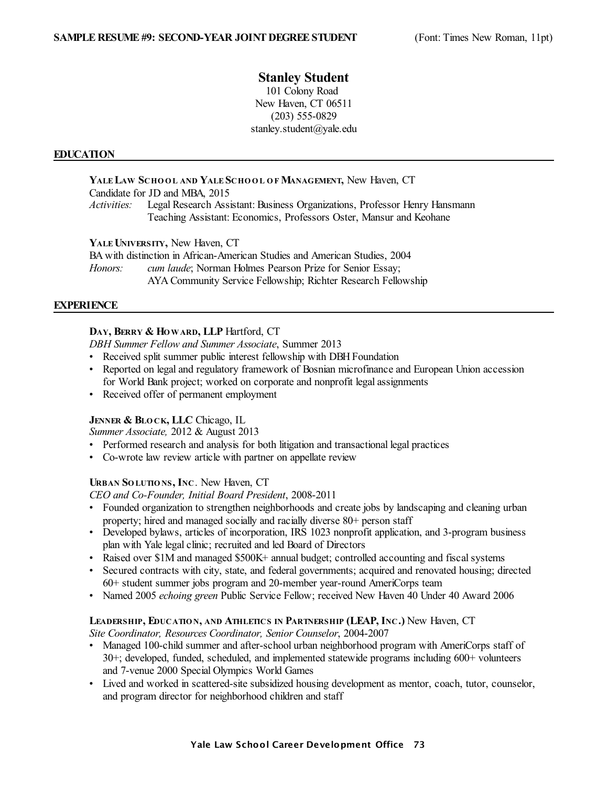# **Stanley Student**

101 Colony Road New Haven, CT 06511 (203) 555-0829 stanley.student@yale.edu

# **EDUCATION**

**YALE LAW SCHO O L AND YALE SCHO O L O F MANAGEMENT,** New Haven, CT Candidate for JD and MBA, 2015 *Activities:* Legal Research Assistant: Business Organizations, Professor Henry Hansmann Teaching Assistant: Economics, Professors Oster, Mansur and Keohane

**YALEUNIVERSITY,** New Haven, CT

BA with distinction in African-American Studies and American Studies, 2004 *Honors: cum laude*; Norman Holmes Pearson Prize for Senior Essay; AYA Community Service Fellowship; Richter Research Fellowship

# **EXPERIENCE**

# **DAY, BERRY & HOWARD, LLP** Hartford, CT

*DBH Summer Fellow and Summer Associate*, Summer 2013

- Received split summer public interest fellowship with DBH Foundation
- Reported on legal and regulatory framework of Bosnian microfinance and European Union accession for World Bank project; worked on corporate and nonprofit legal assignments
- Received offer of permanent employment

# **JENNER & BLO CK, LLC** Chicago, IL

*Summer Associate,* 2012 & August 2013

- Performed research and analysis for both litigation and transactional legal practices
- Co-wrote law review article with partner on appellate review

# **URBAN SO LUTIO NS, INC**. New Haven, CT

*CEO and Co-Founder, Initial Board President*, 2008-2011

- Founded organization to strengthen neighborhoods and create jobs by landscaping and cleaning urban property; hired and managed socially and racially diverse 80+ person staff
- Developed bylaws, articles of incorporation, IRS 1023 nonprofit application, and 3-program business plan with Yale legal clinic; recruited and led Board of Directors
- Raised over \$1M and managed \$500K+ annual budget; controlled accounting and fiscal systems
- Secured contracts with city, state, and federal governments; acquired and renovated housing; directed 60+ student summer jobs program and 20-member year-round AmeriCorps team
- Named 2005 *echoing green* Public Service Fellow; received New Haven 40 Under 40 Award 2006

# **LEADERSHIP, EDUCATIO N, AND ATHLETICS IN PARTNERSHIP (LEAP, INC.)** New Haven, CT

*Site Coordinator, Resources Coordinator, Senior Counselor*, 2004-2007

- Managed 100-child summer and after-school urban neighborhood program with AmeriCorps staff of 30+; developed, funded, scheduled, and implemented statewide programs including 600+ volunteers and 7-venue 2000 Special Olympics World Games
- Lived and worked in scattered-site subsidized housing development as mentor, coach, tutor, counselor, and program director for neighborhood children and staff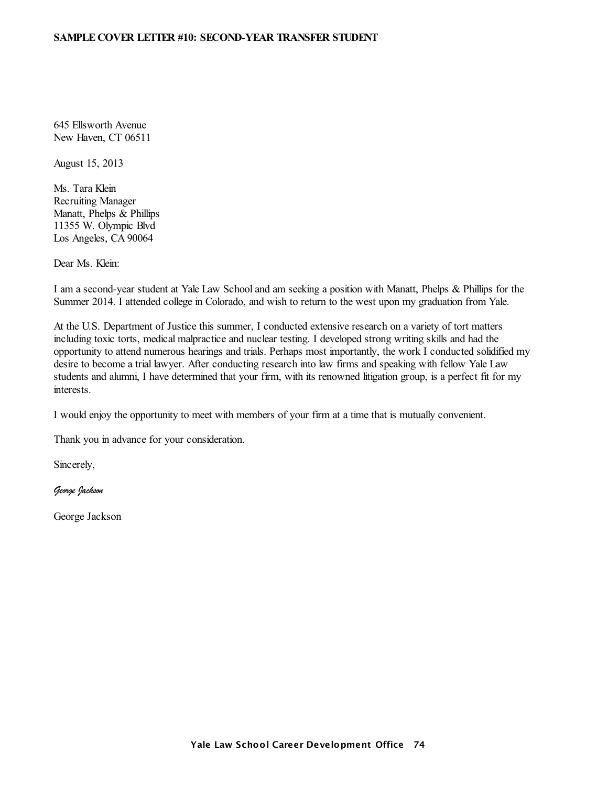#### **SAMPLE COVER LETTER #10: SECOND-YEAR TRANSFER STUDENT**

645 Ellsworth Avenue New Haven, CT 06511

August 15, 2013

Ms. Tara Klein Recruiting Manager Manatt, Phelps & Phillips 11355 W. Olympic Blvd Los Angeles, CA 90064

Dear Ms. Klein:

I am a second-year student at Yale Law School and am seeking a position with Manatt, Phelps & Phillips for the Summer 2014. I attended college in Colorado, and wish to return to the west upon my graduation from Yale.

At the U.S. Department of Justice this summer, I conducted extensive research on a variety of tort matters including toxic torts, medical malpractice and nuclear testing. I developed strong writing skills and had the opportunity to attend numerous hearings and trials. Perhaps most importantly, the work I conducted solidified my desire to become a trial lawyer. After conducting research into law firms and speaking with fellow Yale Law students and alumni, I have determined that your firm, with its renowned litigation group, is a perfect fit for my interests.

I would enjoy the opportunity to meet with members of your firm at a time that is mutually convenient.

Thank you in advance for your consideration.

Sincerely,

*George Jackson*

George Jackson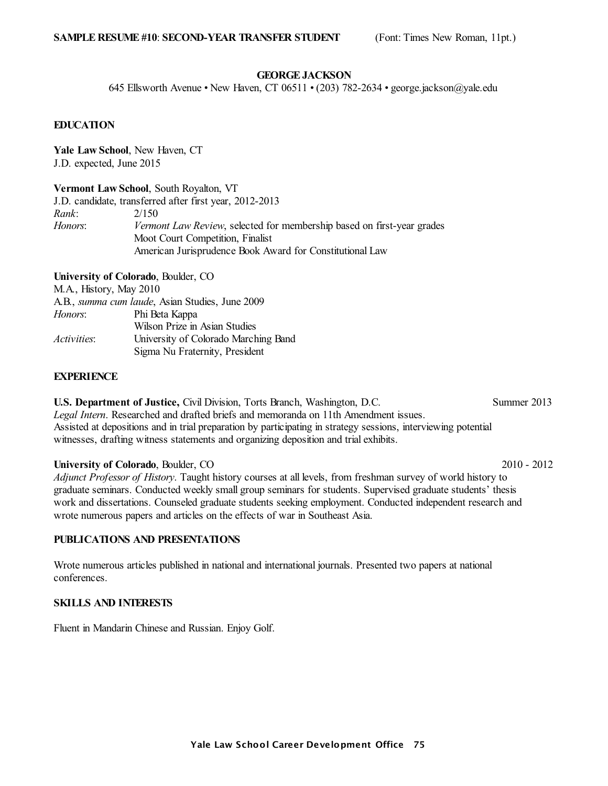#### **GEORGEJACKSON**

645 Ellsworth Avenue • New Haven, CT 06511 • (203) 782-2634 • george.jackson@yale.edu

# **EDUCATION**

**Yale Law School**, New Haven, CT J.D. expected, June 2015

**Vermont Law School**, South Royalton, VT

J.D. candidate, transferred after first year, 2012-2013 *Rank*: 2/150 *Honors*: *Vermont Law Review*, selected for membership based on first-year grades Moot Court Competition, Finalist American Jurisprudence Book Award for Constitutional Law

**University of Colorado**, Boulder, CO

M.A., History, May 2010

|                    | A.B., <i>summa cum laude</i> , Asian Studies, June 2009 |
|--------------------|---------------------------------------------------------|
| Honors:            | Phi Beta Kappa                                          |
|                    | Wilson Prize in Asian Studies                           |
| <i>Activities:</i> | University of Colorado Marching Band                    |
|                    | Sigma Nu Fraternity, President                          |

# **EXPERIENCE**

**U.S. Department of Justice,** Civil Division, Torts Branch, Washington, D.C. Summer 2013 *Legal Intern*. Researched and drafted briefs and memoranda on 11th Amendment issues. Assisted at depositions and in trial preparation by participating in strategy sessions, interviewing potential witnesses, drafting witness statements and organizing deposition and trial exhibits.

### **University of Colorado**, Boulder, CO 2010 - 2012

*Adjunct Professor of History*. Taught history courses at all levels, from freshman survey of world history to graduate seminars. Conducted weekly small group seminars for students. Supervised graduate students' thesis work and dissertations. Counseled graduate students seeking employment. Conducted independent research and wrote numerous papers and articles on the effects of war in Southeast Asia.

#### **PUBLICATIONS AND PRESENTATIONS**

Wrote numerous articles published in national and international journals. Presented two papers at national conferences.

#### **SKILLS AND INTERESTS**

Fluent in Mandarin Chinese and Russian. Enjoy Golf.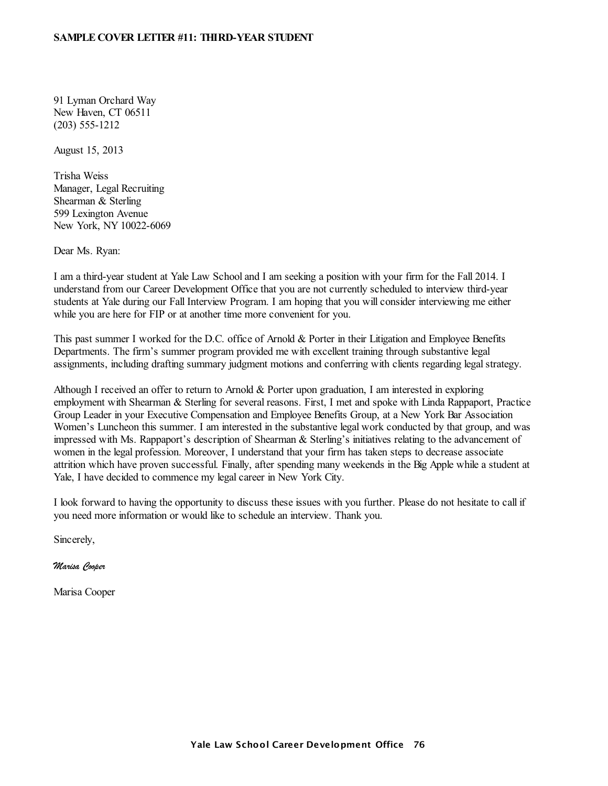#### **SAMPLE COVER LETTER #11: THIRD-YEAR STUDENT**

91 Lyman Orchard Way New Haven, CT 06511 (203) 555-1212

August 15, 2013

Trisha Weiss Manager, Legal Recruiting Shearman & Sterling 599 Lexington Avenue New York, NY 10022-6069

Dear Ms. Ryan:

I am a third-year student at Yale Law School and I am seeking a position with your firm for the Fall 2014. I understand from our Career Development Office that you are not currently scheduled to interview third-year students at Yale during our Fall Interview Program. I am hoping that you will consider interviewing me either while you are here for FIP or at another time more convenient for you.

This past summer I worked for the D.C. office of Arnold & Porter in their Litigation and Employee Benefits Departments. The firm's summer program provided me with excellent training through substantive legal assignments, including drafting summary judgment motions and conferring with clients regarding legal strategy.

Although I received an offer to return to Arnold & Porter upon graduation, I am interested in exploring employment with Shearman & Sterling for several reasons. First, I met and spoke with Linda Rappaport, Practice Group Leader in your Executive Compensation and Employee Benefits Group, at a New York Bar Association Women's Luncheon this summer. I am interested in the substantive legal work conducted by that group, and was impressed with Ms. Rappaport's description of Shearman & Sterling's initiatives relating to the advancement of women in the legal profession. Moreover, I understand that your firm has taken steps to decrease associate attrition which have proven successful. Finally, after spending many weekends in the Big Apple while a student at Yale, I have decided to commence my legal career in New York City.

I look forward to having the opportunity to discuss these issues with you further. Please do not hesitate to call if you need more information or would like to schedule an interview. Thank you.

Sincerely,

*Marisa Cooper*

Marisa Cooper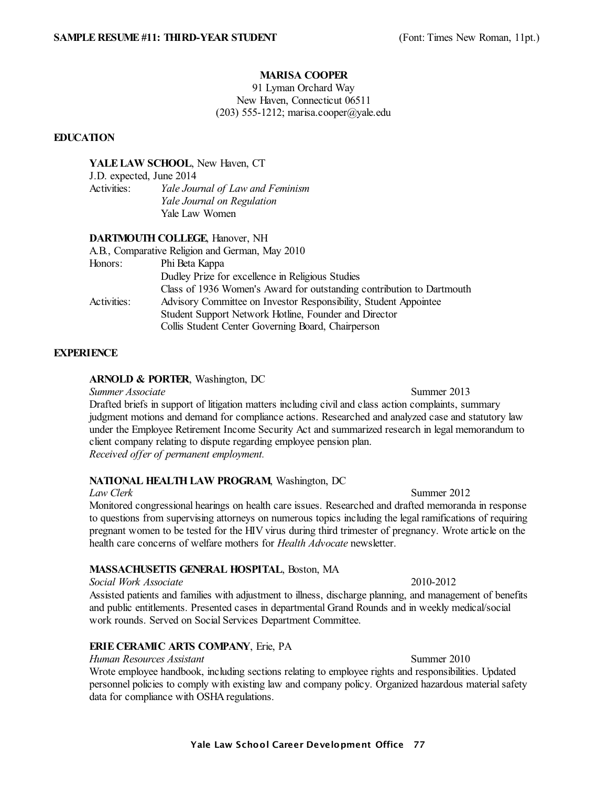#### **MARISA COOPER**

91 Lyman Orchard Way New Haven, Connecticut 06511 (203) 555-1212; marisa.cooper@yale.edu

# **EDUCATION**

#### **YALELAW SCHOOL**, New Haven, CT

J.D. expected, June 2014 Activities: *Yale Journal of Law and Feminism Yale Journal on Regulation* Yale Law Women

#### **DARTMOUTH COLLEGE**, Hanover, NH

|             | A.B., Comparative Religion and German, May 2010                       |
|-------------|-----------------------------------------------------------------------|
| Honors:     | Phi Beta Kappa                                                        |
|             | Dudley Prize for excellence in Religious Studies                      |
|             | Class of 1936 Women's Award for outstanding contribution to Dartmouth |
| Activities: | Advisory Committee on Investor Responsibility, Student Appointee      |
|             | Student Support Network Hotline, Founder and Director                 |
|             | Collis Student Center Governing Board, Chairperson                    |

#### **EXPERIENCE**

#### **ARNOLD & PORTER**, Washington, DC

**Summer** *Associate* Summer 2013 Drafted briefs in support of litigation matters including civil and class action complaints, summary judgment motions and demand for compliance actions. Researched and analyzed case and statutory law under the Employee Retirement Income Security Act and summarized research in legal memorandum to client company relating to dispute regarding employee pension plan. *Received offer of permanent employment.*

## **NATIONAL HEALTH LAW PROGRAM**, Washington, DC

*Law Clerk* Summer 2012 Monitored congressional hearings on health care issues. Researched and drafted memoranda in response to questions from supervising attorneys on numerous topics including the legal ramifications of requiring pregnant women to be tested for the HIV virus during third trimester of pregnancy. Wrote article on the health care concerns of welfare mothers for *Health Advocate* newsletter.

# **MASSACHUSETTS GENERAL HOSPITAL**, Boston, MA

#### *Social Work Associate* 2010-2012

Assisted patients and families with adjustment to illness, discharge planning, and management of benefits and public entitlements. Presented cases in departmental Grand Rounds and in weekly medical/social work rounds. Served on Social Services Department Committee.

# **ERIE CERAMIC ARTS COMPANY**, Erie, PA

#### *Human Resources Assistant* Summer 2010

Wrote employee handbook, including sections relating to employee rights and responsibilities. Updated personnel policies to comply with existing law and company policy. Organized hazardous material safety data for compliance with OSHA regulations.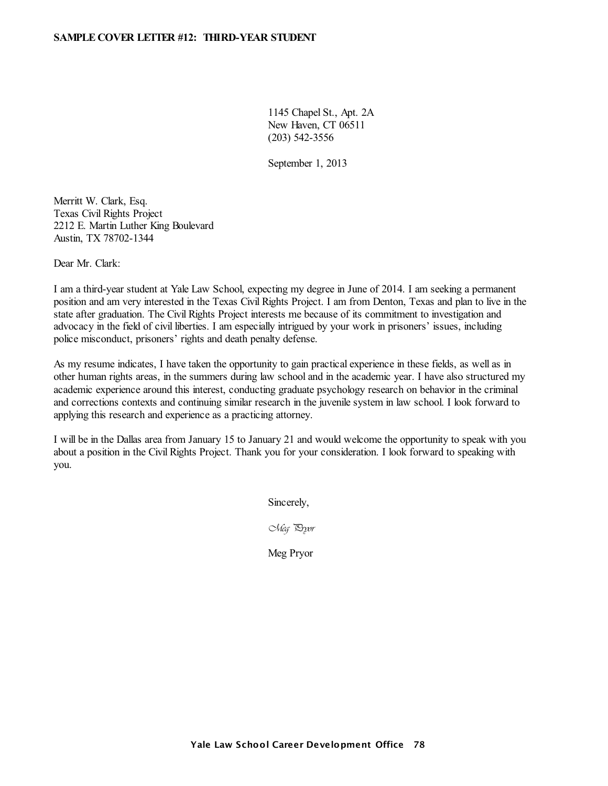1145 Chapel St., Apt. 2A New Haven, CT 06511 (203) 542-3556

September 1, 2013

Merritt W. Clark, Esq. Texas Civil Rights Project 2212 E. Martin Luther King Boulevard Austin, TX 78702-1344

Dear Mr. Clark:

I am a third-year student at Yale Law School, expecting my degree in June of 2014. I am seeking a permanent position and am very interested in the Texas Civil Rights Project. I am from Denton, Texas and plan to live in the state after graduation. The Civil Rights Project interests me because of its commitment to investigation and advocacy in the field of civil liberties. I am especially intrigued by your work in prisoners' issues, including police misconduct, prisoners' rights and death penalty defense.

As my resume indicates, I have taken the opportunity to gain practical experience in these fields, as well as in other human rights areas, in the summers during law school and in the academic year. I have also structured my academic experience around this interest, conducting graduate psychology research on behavior in the criminal and corrections contexts and continuing similar research in the juvenile system in law school. I look forward to applying this research and experience as a practicing attorney.

I will be in the Dallas area from January 15 to January 21 and would welcome the opportunity to speak with you about a position in the Civil Rights Project. Thank you for your consideration. I look forward to speaking with you.

Sincerely,

*Meg Pryor*

Meg Pryor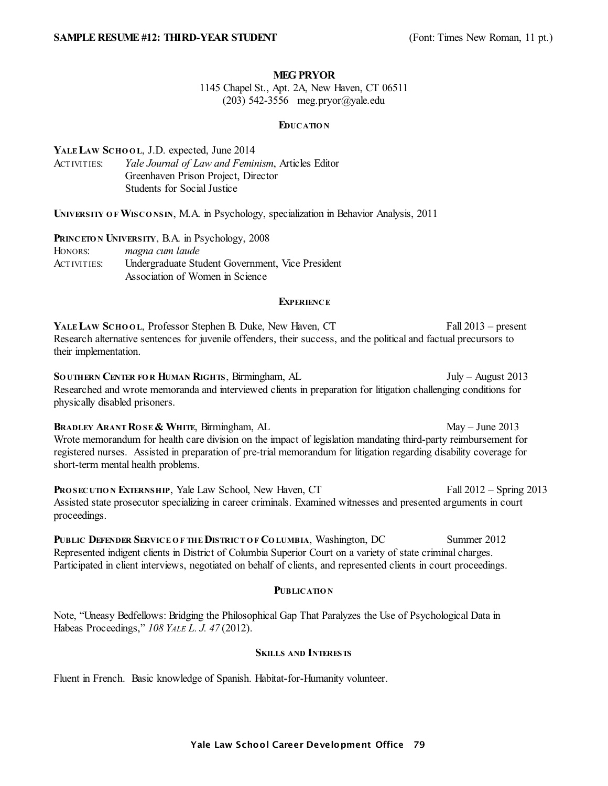#### **MEG PRYOR**

1145 Chapel St., Apt. 2A, New Haven, CT 06511 (203) 542-3556 meg.pryor@yale.edu

#### **EDUCATIO N**

**YALE LAW SCHO O L**, J.D. expected, June 2014 ACTIVITIES: *Yale Journal of Law and Feminism*, Articles Editor Greenhaven Prison Project, Director Students for Social Justice

**UNIVERSITY O F WISCO NSIN**, M.A. in Psychology, specialization in Behavior Analysis, 2011

| PRINCETON UNIVERSITY, B.A. in Psychology, 2008 |                                                  |  |
|------------------------------------------------|--------------------------------------------------|--|
| HONORS:                                        | magna cum laude                                  |  |
| <b>ACTIVITIES:</b>                             | Undergraduate Student Government, Vice President |  |
|                                                | Association of Women in Science                  |  |

#### **EXPERIENCE**

**YALE LAW SCHO O L**, Professor Stephen B. Duke, New Haven, CT Fall 2013 – present Research alternative sentences for juvenile offenders, their success, and the political and factual precursors to their implementation.

**SO UTHERN CENTER FO R HUMAN RIGHTS**, Birmingham, AL July – August 2013 Researched and wrote memoranda and interviewed clients in preparation for litigation challenging conditions for physically disabled prisoners.

**BRADLEY ARANT ROSE & WHITE, Birmingham, AL May – June 2013** Wrote memorandum for health care division on the impact of legislation mandating third-party reimbursement for registered nurses. Assisted in preparation of pre-trial memorandum for litigation regarding disability coverage for short-term mental health problems.

**PROSECUTION EXTERNSHIP, Yale Law School, New Haven, CT Fall 2012 – Spring 2013** Assisted state prosecutor specializing in career criminals. Examined witnesses and presented arguments in court proceedings.

**PUBLIC DEFENDER SERVICE O F THEDISTRICT O F CO LUMBIA**, Washington, DC Summer 2012 Represented indigent clients in District of Columbia Superior Court on a variety of state criminal charges. Participated in client interviews, negotiated on behalf of clients, and represented clients in court proceedings.

## **PUBLICATIO N**

Note, "Uneasy Bedfellows: Bridging the Philosophical Gap That Paralyzes the Use of Psychological Data in Habeas Proceedings," *108 YALE L. J. 47* (2012).

#### **SKILLS AND INTERESTS**

Fluent in French. Basic knowledge of Spanish. Habitat-for-Humanity volunteer.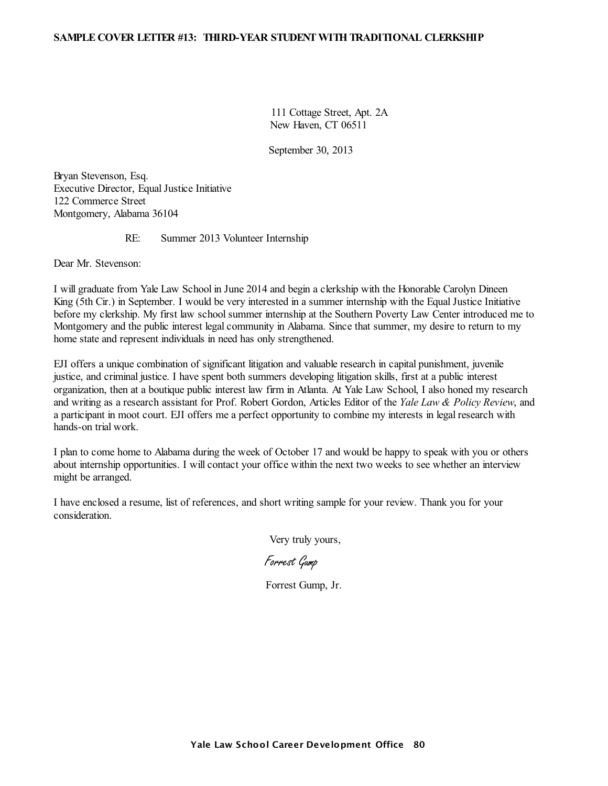#### **SAMPLE COVER LETTER #13: THIRD-YEAR STUDENTWITH TRADITIONAL CLERKSHIP**

111 Cottage Street, Apt. 2A New Haven, CT 06511

September 30, 2013

Bryan Stevenson, Esq. Executive Director, Equal Justice Initiative 122 Commerce Street Montgomery, Alabama 36104

#### RE: Summer 2013 Volunteer Internship

Dear Mr. Stevenson:

I will graduate from Yale Law School in June 2014 and begin a clerkship with the Honorable Carolyn Dineen King (5th Cir.) in September. I would be very interested in a summer internship with the Equal Justice Initiative before my clerkship. My first law school summer internship at the Southern Poverty Law Center introduced me to Montgomery and the public interest legal community in Alabama. Since that summer, my desire to return to my home state and represent individuals in need has only strengthened.

EJI offers a unique combination of significant litigation and valuable research in capital punishment, juvenile justice, and criminal justice. I have spent both summers developing litigation skills, first at a public interest organization, then at a boutique public interest law firm in Atlanta. At Yale Law School, I also honed my research and writing as a research assistant for Prof. Robert Gordon, Articles Editor of the *Yale Law & Policy Review*, and a participant in moot court. EJI offers me a perfect opportunity to combine my interests in legal research with hands-on trial work.

I plan to come home to Alabama during the week of October 17 and would be happy to speak with you or others about internship opportunities. I will contact your office within the next two weeks to see whether an interview might be arranged.

I have enclosed a resume, list of references, and short writing sample for your review. Thank you for your consideration.

Very truly yours,

*Forrest Gump*

Forrest Gump, Jr.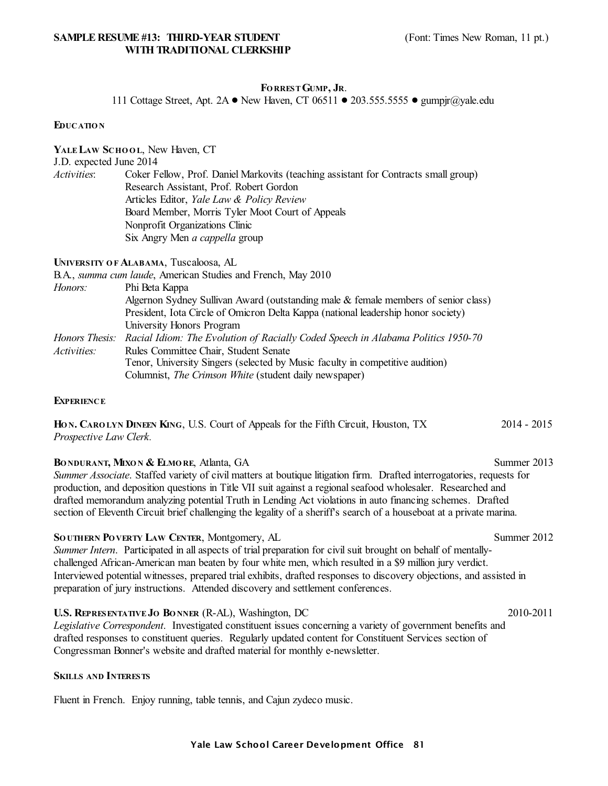# **FO RRESTGUMP, JR**.

111 Cottage Street, Apt. 2A . New Haven, CT 06511 .  $203.555.5555$   $\bullet$  gumpjr $\omega$ yale.edu

#### **EDUCATIO N**

**YALE LAW SCHO O L**, New Haven, CT J.D. expected June 2014 *Activities*: Coker Fellow, Prof. Daniel Markovits (teaching assistant for Contracts small group) Research Assistant, Prof. Robert Gordon Articles Editor, *Yale Law & Policy Review* Board Member, Morris Tyler Moot Court of Appeals Nonprofit Organizations Clinic Six Angry Men *a cappella* group

**UNIVERSITY O F ALABAMA**, Tuscaloosa, AL

|                    | B.A., <i>summa cum laude</i> , American Studies and French, May 2010                            |
|--------------------|-------------------------------------------------------------------------------------------------|
| Honors:            | Phi Beta Kappa                                                                                  |
|                    | Algernon Sydney Sullivan Award (outstanding male & female members of senior class)              |
|                    | President, Iota Circle of Omicron Delta Kappa (national leadership honor society)               |
|                    | University Honors Program                                                                       |
|                    | Honors Thesis: Racial Idiom: The Evolution of Racially Coded Speech in Alabama Politics 1950-70 |
| <i>Activities:</i> | Rules Committee Chair, Student Senate                                                           |
|                    | Tenor, University Singers (selected by Music faculty in competitive audition)                   |
|                    | Columnist, The Crimson White (student daily newspaper)                                          |

#### **EXPERIENCE**

**HO N. CARO LYN DINEEN KING**, U.S. Court of Appeals for the Fifth Circuit, Houston, TX 2014 - 2015 *Prospective Law Clerk.*

#### **BO NDURANT, MIXO N & ELMO RE**, Atlanta, GA Summer 2013

*Summer Associate*. Staffed variety of civil matters at boutique litigation firm. Drafted interrogatories, requests for production, and deposition questions in Title VII suit against a regionalseafood wholesaler. Researched and drafted memorandum analyzing potential Truth in Lending Act violations in auto financing schemes. Drafted section of Eleventh Circuit brief challenging the legality of a sheriff's search of a houseboat at a private marina.

**SO UTHERN PO VERTY LAW CENTER**, Montgomery, AL Summer 2012

*Summer Intern*. Participated in all aspects of trial preparation for civil suit brought on behalf of mentallychallenged African-American man beaten by four white men, which resulted in a \$9 million jury verdict. Interviewed potential witnesses, prepared trial exhibits, drafted responses to discovery objections, and assisted in preparation of jury instructions. Attended discovery and settlement conferences.

#### **U.S. REPRESENTATIVE JO BO NNER** (R-AL), Washington, DC 2010-2011

*Legislative Correspondent*. Investigated constituent issues concerning a variety of government benefits and drafted responses to constituent queries. Regularly updated content for Constituent Services section of Congressman Bonner's website and drafted material for monthly e-newsletter.

#### **SKILLS AND INTERESTS**

Fluent in French. Enjoy running, table tennis, and Cajun zydeco music.

# Yale Law School Career Development Office 81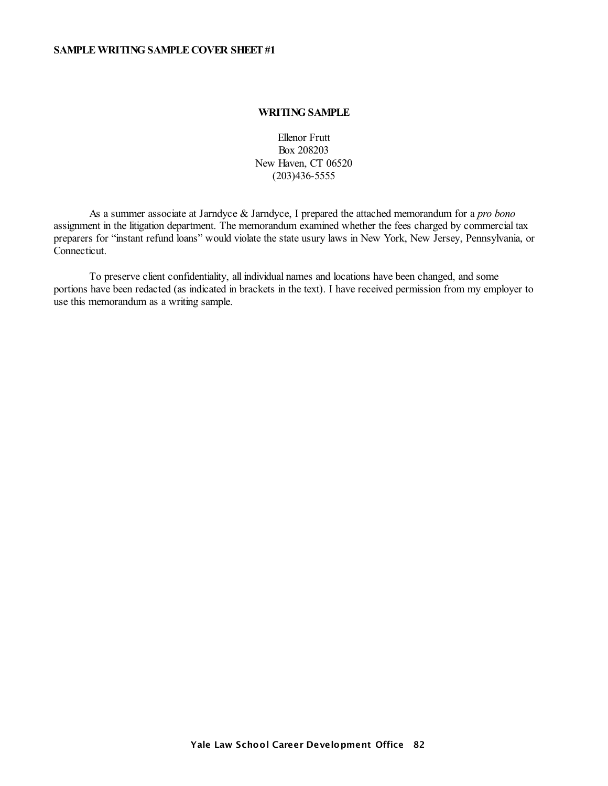### **WRITING SAMPLE**

Ellenor Frutt Box 208203 New Haven, CT 06520 (203)436-5555

As a summer associate at Jarndyce & Jarndyce, I prepared the attached memorandum for a *pro bono* assignment in the litigation department. The memorandum examined whether the fees charged by commercial tax preparers for "instant refund loans" would violate the state usury laws in New York, New Jersey, Pennsylvania, or Connecticut.

To preserve client confidentiality, all individual names and locations have been changed, and some portions have been redacted (as indicated in brackets in the text). I have received permission from my employer to use this memorandum as a writing sample.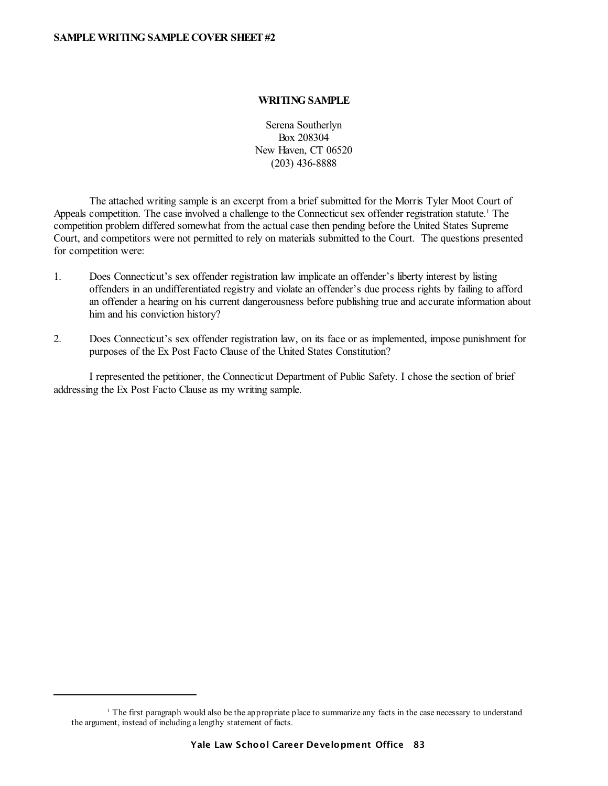#### **WRITING SAMPLE**

Serena Southerlyn Box 208304 New Haven, CT 06520 (203) 436-8888

The attached writing sample is an excerpt from a brief submitted for the Morris Tyler Moot Court of Appeals competition. The case involved a challenge to the Connecticut sex offender registration statute.<sup>1</sup> The competition problem differed somewhat from the actual case then pending before the United States Supreme Court, and competitors were not permitted to rely on materials submitted to the Court. The questions presented for competition were:

- 1. Does Connecticut's sex offender registration law implicate an offender's liberty interest by listing offenders in an undifferentiated registry and violate an offender's due process rights by failing to afford an offender a hearing on his current dangerousness before publishing true and accurate information about him and his conviction history?
- 2. Does Connecticut's sex offender registration law, on its face or as implemented, impose punishment for purposes of the Ex Post Facto Clause of the United States Constitution?

I represented the petitioner, the Connecticut Department of Public Safety. I chose the section of brief addressing the Ex Post Facto Clause as my writing sample.

<sup>1</sup> The first paragraph would also be the appropriate place to summarize any facts in the case necessary to understand the argument, instead of including a lengthy statement of facts.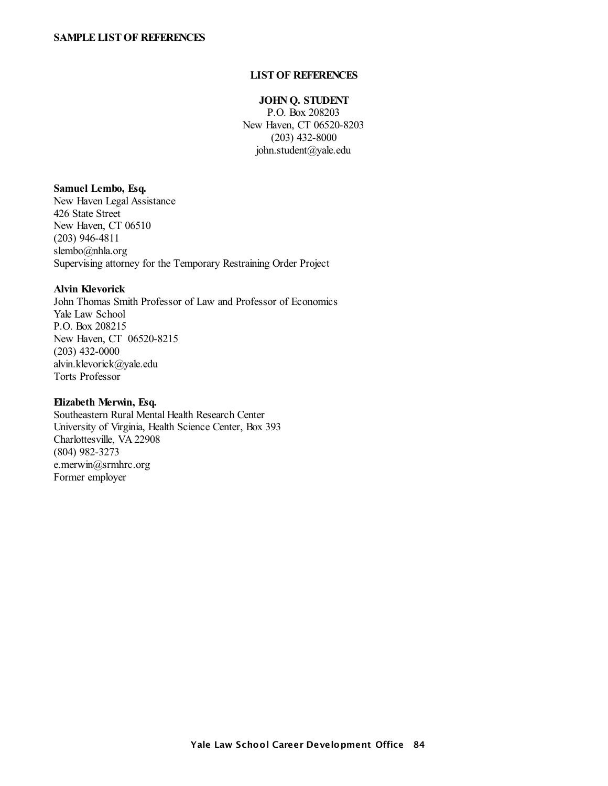#### **LISTOF REFERENCES**

### **JOHN Q. STUDENT**

P.O. Box 208203 New Haven, CT 06520-8203 (203) 432-8000 john.student@yale.edu

#### **Samuel Lembo, Esq.**

New Haven Legal Assistance 426 State Street New Haven, CT 06510 (203) 946-4811 slembo@nhla.org Supervising attorney for the Temporary Restraining Order Project

# **Alvin Klevorick**

John Thomas Smith Professor of Law and Professor of Economics Yale Law School P.O. Box 208215 New Haven, CT 06520-8215 (203) 432-0000 alvin.klevorick@yale.edu Torts Professor

#### **Elizabeth Merwin, Esq.**

Southeastern Rural Mental Health Research Center University of Virginia, Health Science Center, Box 393 Charlottesville, VA 22908 (804) 982-3273 e.merwin@srmhrc.org Former employer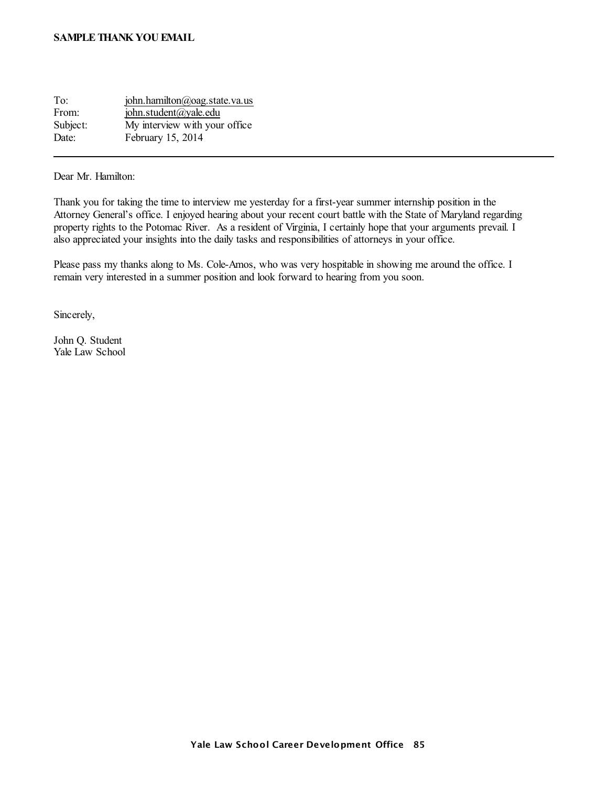#### **SAMPLETHANK YOU EMAIL**

| To:      | john.hamilton@oag.state.va.us |
|----------|-------------------------------|
| From:    | john.student@yale.edu         |
| Subject: | My interview with your office |
| Date:    | February 15, 2014             |

Dear Mr. Hamilton:

Thank you for taking the time to interview me yesterday for a first-year summer internship position in the Attorney General's office. I enjoyed hearing about your recent court battle with the State of Maryland regarding property rights to the Potomac River. As a resident of Virginia, I certainly hope that your arguments prevail. I also appreciated your insights into the daily tasks and responsibilities of attorneys in your office.

Please pass my thanks along to Ms. Cole-Amos, who was very hospitable in showing me around the office. I remain very interested in a summer position and look forward to hearing from you soon.

Sincerely,

John Q. Student Yale Law School